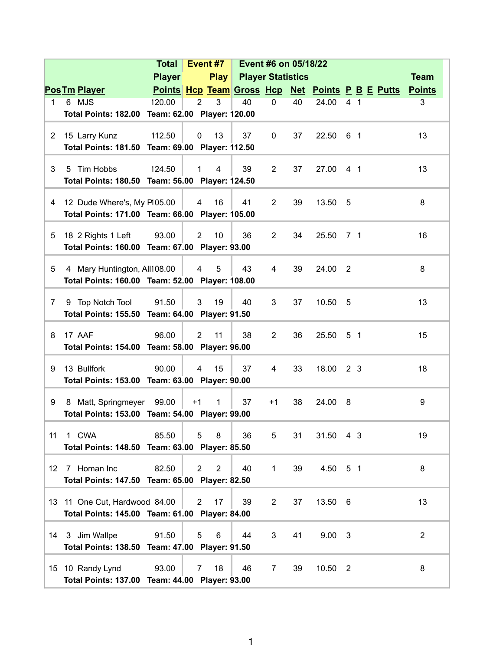|                       |                                                                      | <b>Total</b>  |                | Event #7       | Event #6 on 05/18/22          |                |    |                |                |  |                                                  |                |  |
|-----------------------|----------------------------------------------------------------------|---------------|----------------|----------------|-------------------------------|----------------|----|----------------|----------------|--|--------------------------------------------------|----------------|--|
|                       |                                                                      | <b>Player</b> |                |                | <b>Play Player Statistics</b> |                |    |                |                |  |                                                  | <b>Team</b>    |  |
|                       | <b>Pos Tm Player</b>                                                 |               |                |                |                               |                |    |                |                |  | Points Hcp Team Gross Hcp Net Points P B E Putts | <b>Points</b>  |  |
| $\mathbf{1}$          | 6 MJS                                                                | 120.00        | $\overline{2}$ | 3              | 40                            | $\mathbf 0$    | 40 | 24.00          | 4 <sub>1</sub> |  |                                                  | 3              |  |
|                       | Total Points: 182.00 Team: 62.00 Player: 120.00                      |               |                |                |                               |                |    |                |                |  |                                                  |                |  |
|                       |                                                                      |               |                |                |                               |                |    |                |                |  |                                                  |                |  |
| $\mathbf{2}^{\prime}$ | 15 Larry Kunz                                                        | 112.50        | $\mathbf 0$    | 13             | 37                            | 0              | 37 | 22.50 6 1      |                |  |                                                  | 13             |  |
|                       | Total Points: 181.50 Team: 69.00 Player: 112.50                      |               |                |                |                               |                |    |                |                |  |                                                  |                |  |
| 3                     | 5 Tim Hobbs                                                          | 124.50        | $\mathbf{1}$   | $\overline{4}$ | 39                            | $\overline{2}$ | 37 | 27.00          | 4 <sub>1</sub> |  |                                                  | 13             |  |
|                       | Total Points: 180.50 Team: 56.00 Player: 124.50                      |               |                |                |                               |                |    |                |                |  |                                                  |                |  |
|                       |                                                                      |               |                |                |                               |                |    |                |                |  |                                                  |                |  |
| 4                     | 12 Dude Where's, My P105.00                                          |               | 4              | 16             | 41                            | $\overline{2}$ | 39 | 13.50 5        |                |  |                                                  | 8              |  |
|                       | Total Points: 171.00 Team: 66.00 Player: 105.00                      |               |                |                |                               |                |    |                |                |  |                                                  |                |  |
|                       |                                                                      |               |                |                |                               |                |    |                |                |  |                                                  |                |  |
| 5                     | 18 2 Rights 1 Left<br>Total Points: 160.00 Team: 67.00 Player: 93.00 | 93.00         | $\overline{2}$ | 10             | 36                            | $\overline{2}$ | 34 | 25.50          | 7 1            |  |                                                  | 16             |  |
|                       |                                                                      |               |                |                |                               |                |    |                |                |  |                                                  |                |  |
| 5                     | 4 Mary Huntington, All108.00                                         |               | 4              | 5              | 43                            | 4              | 39 | 24.00          | $\overline{2}$ |  |                                                  | 8              |  |
|                       | Total Points: 160.00 Team: 52.00 Player: 108.00                      |               |                |                |                               |                |    |                |                |  |                                                  |                |  |
|                       |                                                                      |               |                |                |                               |                |    |                |                |  |                                                  |                |  |
| $\overline{7}$        | 9 Top Notch Tool                                                     | 91.50         | 3              | 19             | 40                            | 3              | 37 | 10.50          | - 5            |  |                                                  | 13             |  |
|                       | Total Points: 155.50 Team: 64.00 Player: 91.50                       |               |                |                |                               |                |    |                |                |  |                                                  |                |  |
| 8                     | 17 AAF                                                               | 96.00         | $\overline{2}$ | 11             | 38                            | $\overline{2}$ | 36 | 25.50          | 51             |  |                                                  | 15             |  |
|                       | Total Points: 154.00 Team: 58.00 Player: 96.00                       |               |                |                |                               |                |    |                |                |  |                                                  |                |  |
|                       |                                                                      |               |                |                |                               |                |    |                |                |  |                                                  |                |  |
| 9                     | 13 Bullfork                                                          | 90.00         | $\overline{4}$ | 15             | 37                            | 4              | 33 | 18.00 2 3      |                |  |                                                  | 18             |  |
|                       | Total Points: 153.00 Team: 63.00 Player: 90.00                       |               |                |                |                               |                |    |                |                |  |                                                  |                |  |
|                       |                                                                      |               |                |                |                               |                |    |                |                |  |                                                  |                |  |
| 9                     | 8 Matt, Springmeyer                                                  | 99.00         | $+1$           | $\mathbf{1}$   | 37                            | $+1$           | 38 | 24.00          | - 8            |  |                                                  | 9              |  |
|                       | Total Points: 153.00 Team: 54.00 Player: 99.00                       |               |                |                |                               |                |    |                |                |  |                                                  |                |  |
| 11                    | 1 CWA                                                                | 85.50         | 5              | 8              | 36                            | 5              | 31 | 31.50 4 3      |                |  |                                                  | 19             |  |
|                       | Total Points: 148.50 Team: 63.00 Player: 85.50                       |               |                |                |                               |                |    |                |                |  |                                                  |                |  |
|                       |                                                                      |               |                |                |                               |                |    |                |                |  |                                                  |                |  |
| 12                    | 7 Homan Inc                                                          | 82.50         | $\overline{2}$ | $\overline{2}$ | 40                            | $\mathbf{1}$   | 39 | 4.50 5 1       |                |  |                                                  | 8              |  |
|                       | Total Points: 147.50 Team: 65.00 Player: 82.50                       |               |                |                |                               |                |    |                |                |  |                                                  |                |  |
|                       |                                                                      |               |                |                |                               |                |    |                |                |  |                                                  |                |  |
|                       | 13 11 One Cut, Hardwood 84.00                                        |               | $\overline{2}$ | 17             | 39                            | $\overline{2}$ | 37 | 13.50 6        |                |  |                                                  | 13             |  |
|                       | Total Points: 145.00 Team: 61.00 Player: 84.00                       |               |                |                |                               |                |    |                |                |  |                                                  |                |  |
|                       | 14 3 Jim Wallpe                                                      | 91.50         | 5              | 6              | 44                            | 3              | 41 | $9.00 \quad 3$ |                |  |                                                  | $\overline{2}$ |  |
|                       | Total Points: 138.50 Team: 47.00 Player: 91.50                       |               |                |                |                               |                |    |                |                |  |                                                  |                |  |
|                       |                                                                      |               |                |                |                               |                |    |                |                |  |                                                  |                |  |
|                       | 15 10 Randy Lynd                                                     | 93.00         | $\overline{7}$ | 18             | 46                            | $\overline{7}$ | 39 | 10.50 2        |                |  |                                                  | 8              |  |
|                       | Total Points: 137.00 Team: 44.00 Player: 93.00                       |               |                |                |                               |                |    |                |                |  |                                                  |                |  |